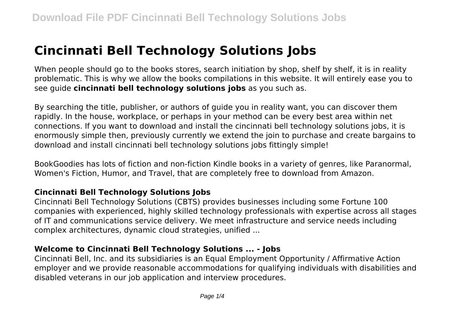# **Cincinnati Bell Technology Solutions Jobs**

When people should go to the books stores, search initiation by shop, shelf by shelf, it is in reality problematic. This is why we allow the books compilations in this website. It will entirely ease you to see guide **cincinnati bell technology solutions jobs** as you such as.

By searching the title, publisher, or authors of guide you in reality want, you can discover them rapidly. In the house, workplace, or perhaps in your method can be every best area within net connections. If you want to download and install the cincinnati bell technology solutions jobs, it is enormously simple then, previously currently we extend the join to purchase and create bargains to download and install cincinnati bell technology solutions jobs fittingly simple!

BookGoodies has lots of fiction and non-fiction Kindle books in a variety of genres, like Paranormal, Women's Fiction, Humor, and Travel, that are completely free to download from Amazon.

## **Cincinnati Bell Technology Solutions Jobs**

Cincinnati Bell Technology Solutions (CBTS) provides businesses including some Fortune 100 companies with experienced, highly skilled technology professionals with expertise across all stages of IT and communications service delivery. We meet infrastructure and service needs including complex architectures, dynamic cloud strategies, unified ...

## **Welcome to Cincinnati Bell Technology Solutions ... - Jobs**

Cincinnati Bell, Inc. and its subsidiaries is an Equal Employment Opportunity / Affirmative Action employer and we provide reasonable accommodations for qualifying individuals with disabilities and disabled veterans in our job application and interview procedures.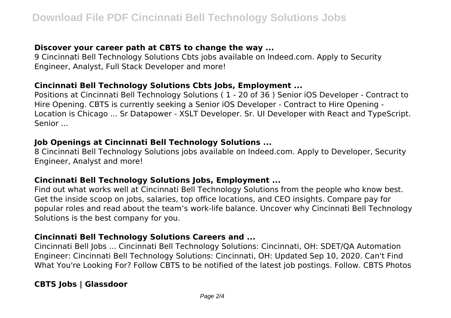## **Discover your career path at CBTS to change the way ...**

9 Cincinnati Bell Technology Solutions Cbts jobs available on Indeed.com. Apply to Security Engineer, Analyst, Full Stack Developer and more!

## **Cincinnati Bell Technology Solutions Cbts Jobs, Employment ...**

Positions at Cincinnati Bell Technology Solutions ( 1 - 20 of 36 ) Senior iOS Developer - Contract to Hire Opening. CBTS is currently seeking a Senior iOS Developer - Contract to Hire Opening - Location is Chicago ... Sr Datapower - XSLT Developer. Sr. UI Developer with React and TypeScript. Senior ...

#### **Job Openings at Cincinnati Bell Technology Solutions ...**

8 Cincinnati Bell Technology Solutions jobs available on Indeed.com. Apply to Developer, Security Engineer, Analyst and more!

#### **Cincinnati Bell Technology Solutions Jobs, Employment ...**

Find out what works well at Cincinnati Bell Technology Solutions from the people who know best. Get the inside scoop on jobs, salaries, top office locations, and CEO insights. Compare pay for popular roles and read about the team's work-life balance. Uncover why Cincinnati Bell Technology Solutions is the best company for you.

## **Cincinnati Bell Technology Solutions Careers and ...**

Cincinnati Bell Jobs ... Cincinnati Bell Technology Solutions: Cincinnati, OH: SDET/QA Automation Engineer: Cincinnati Bell Technology Solutions: Cincinnati, OH: Updated Sep 10, 2020. Can't Find What You're Looking For? Follow CBTS to be notified of the latest job postings. Follow. CBTS Photos

# **CBTS Jobs | Glassdoor**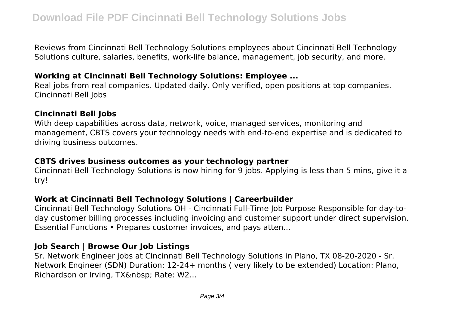Reviews from Cincinnati Bell Technology Solutions employees about Cincinnati Bell Technology Solutions culture, salaries, benefits, work-life balance, management, job security, and more.

## **Working at Cincinnati Bell Technology Solutions: Employee ...**

Real jobs from real companies. Updated daily. Only verified, open positions at top companies. Cincinnati Bell Jobs

#### **Cincinnati Bell Jobs**

With deep capabilities across data, network, voice, managed services, monitoring and management, CBTS covers your technology needs with end-to-end expertise and is dedicated to driving business outcomes.

#### **CBTS drives business outcomes as your technology partner**

Cincinnati Bell Technology Solutions is now hiring for 9 jobs. Applying is less than 5 mins, give it a try!

#### **Work at Cincinnati Bell Technology Solutions | Careerbuilder**

Cincinnati Bell Technology Solutions OH - Cincinnati Full-Time Job Purpose Responsible for day-today customer billing processes including invoicing and customer support under direct supervision. Essential Functions • Prepares customer invoices, and pays atten...

#### **Job Search | Browse Our Job Listings**

Sr. Network Engineer jobs at Cincinnati Bell Technology Solutions in Plano, TX 08-20-2020 - Sr. Network Engineer (SDN) Duration: 12-24+ months ( very likely to be extended) Location: Plano, Richardson or Irving, TX Rate: W2...